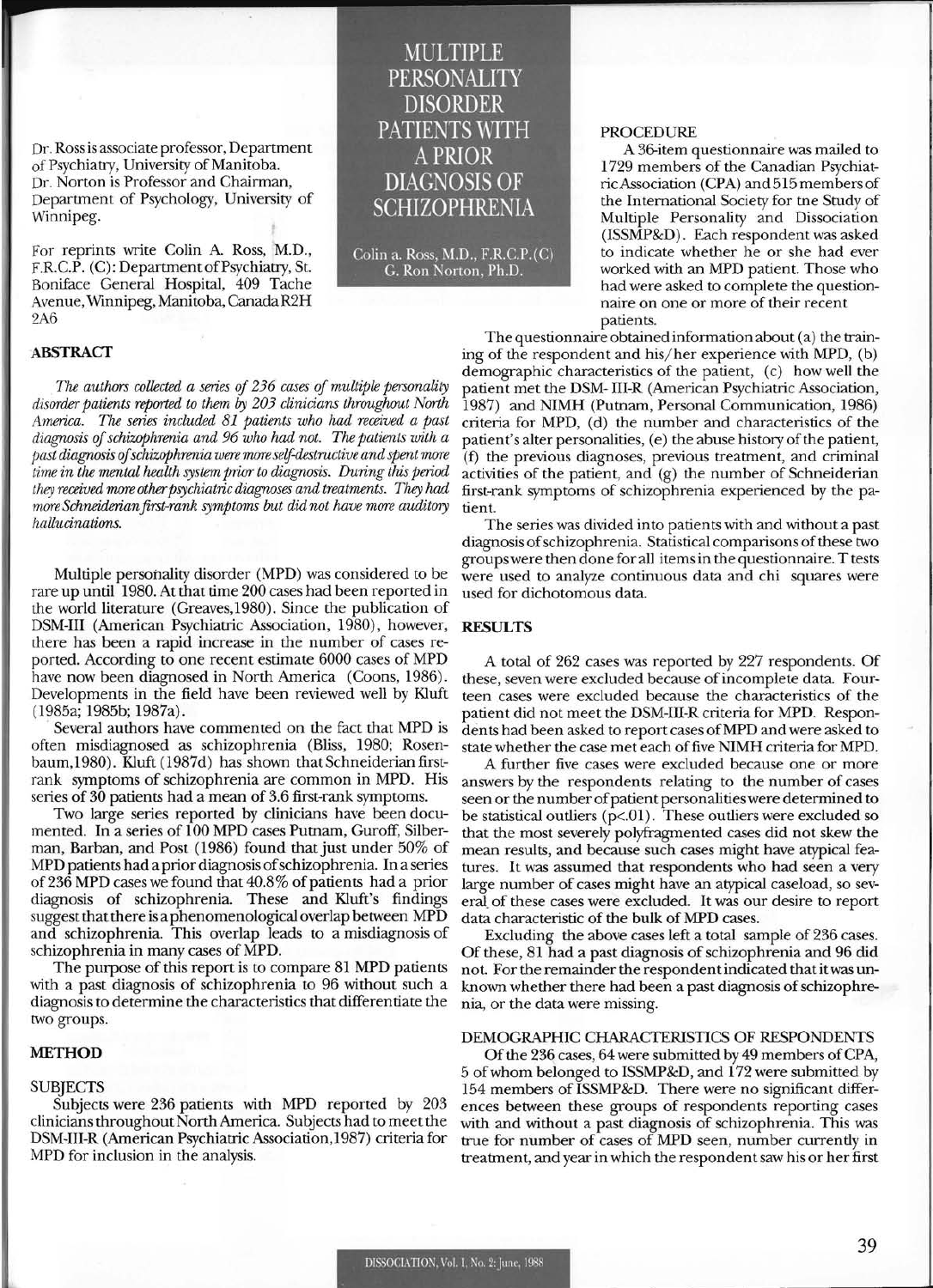Dr. Ross is associate professor, Department of Psychiatry, University of Manitoba. Dr. Norton is Professor and Chairman, Department of Psychology, University of Winnipeg.

For reprints write Colin A. Ross, M.D., F.R.C.P. (C): Department of Psychiatry, St. Boniface General Hospital, 409 Tache Avenue, Winnipeg, Manitoba, Canada R2H 2A6

## ABSTRACT

*The authors collected a series of* 236 *cases of multiple personality disorder patients reported to them* by *203 clinicians throughout North America. The series included* 81 *patients who had received a past diagnosis of schizophrenia and* 96 *who had not. The patients with a past diagnosis of schizophrenia were more self-destructive and spent more time in the mental health system prior to diagnosis. During this period they received more other psychiatric diagnoses and treatments. They had more Schneiderian first-rank symptoms but did not have more auditory hallucinations.* 

Multiple personality disorder (MPD) was considered to be rare up until 1980. At that time 200 cases had been reported in the world literature (Greaves,1980). Since the publication of DSM-III (American Psychiatric Association, 1980), however, there has been a rapid increase in the number of cases reported. According to one recent estimate 6000 cases of MPD have now been diagnosed in North America (Coons, 1986). Developments in the field have been reviewed well by KIuft (l985a; 1985b; 1987a).

Several authors have commented on the fact that MPD is often misdiagnosed as schizophrenia (Bliss, 1980; Rosenbaum,1980). Kluft (1987d) has shown that Schneiderian firstrank symptoms of schizophrenia are common in MPD. His series of 30 patients had a mean of 3.6 first-rank symptoms.

Two large series reported by clinicians have been documented. In a series of 100 MPD cases Putnam, Guroff, Silberman, Barban, and Post (1986) found that just under 50% of MPD patients had a prior diagnosis of schizophrenia. In a series of236 MPD cases we found that 40.8% of patients had a prior diagnosis of schizophrenia. These and KIuft's findings suggest that there is a phenomenological overlap between MPD and schizophrenia. This overlap leads to a misdiagnosis of schizophrenia in many cases of MPD.

The purpose of this report is to compare 81 MPD patients with a past diagnosis of schizophrenia to 96 without such a diagnosis to determine the characteristics that differentiate the two groups.

# **METHOD**

#### **SUBJECTS**

Subjects were 236 patients with MPD reported by 203 clinicians throughout North America. Subjects had to meet the DSM-III-R (American Psychiatric Association,1987) criteria for MPD for inclusion in the analysis.

MULTIPLE PERSONALITY DISORDER PATIENTS WITH A PRIOR DIAGNOSIS OF **SCHIZOPHRENIA** 

Colin a. Ross, M.D., F.R.C.P.(C) C. Ron Norton, Ph.D.

# PROCEDURE

A 36-item questionnaire was mailed to 1729 members of the Canadian Psychiatric Association (CPA) and 515 members of the International Society for tne Study of Multiple Personality and Dissociation (ISSMP&D). Each respondent was asked to indicate whether he or she had ever worked with an MPD patient. Those who had were asked to complete the questionnaire on one or more of their recent patients.

The questionnaire obtained information about (a) the training of the respondent and his/her experience with MPD, (b) demographic characteristics of the patient, (c) how well the patient met the DSM- III-R (American Psychiatric Association, 1987) and NIMH (Putnam, Personal Communication, 1986) criteria for MPD, (d) the number and characteristics of the patient's alter personalities, (e) the abuse history of the patient, (f) the previous diagnoses, previous treatment, and criminal activities of the patient, and (g) the number of Schneiderian first-rank symptoms of schizophrenia experienced by the patient.

The series was divided into patients with and without a past diagnosis of schizophrenia. Statistical comparisons of these two groups were then done for all items in the questionnaire. T tests were used to analyze continuous data and chi squares were used for dichotomous data.

# **RESULTS**

A total of 262 cases was reported by 227 respondents. Of these, seven were excluded because of incomplete data. Fourteen cases were excluded because the characteristics of the patient did not meet the DSM-III-R criteria for MPD. Respondents had been asked to report cases ofMPD and were asked to state whether the case met each of five NIMH criteria for MPD.

A further five cases were excluded because one or more answers by the respondents relating to the number of cases seen or the number of patient personalities were determined to be statistical outliers ( $p<.01$ ). These outliers were excluded so that the most severely polyfragmented cases did not skew the mean results, and because such cases might have atypical features. It was assumed that respondents who had seen a very large number of cases might have an atypical caseload, so several\_ of these cases were excluded. It was our desire to report data characteristic of the bulk of MPD cases.

Excluding the above cases left a total sample of 236 cases. Of these, 81 had a past diagnosis of schizophrenia and 96 did not. For the remainder the respondent indicated that it was unknown whether there had been a past diagnosis of schizophrenia, or the data were missing.

# DEMOGRAPHIC CHARACTERISTICS OF RESPONDENTS

Of the 236 cases, 64 were submitted by 49 members of CPA, 5 of whom belonged to ISSMP&D, and 172 were submitted by 154 members of ISSMP&D. There were no significant differences between these groups of respondents reporting cases with and without a past diagnosis of schizophrenia. This was true for number of cases of MPD seen, number currently in treatment, and year in which the respondent saw his or her first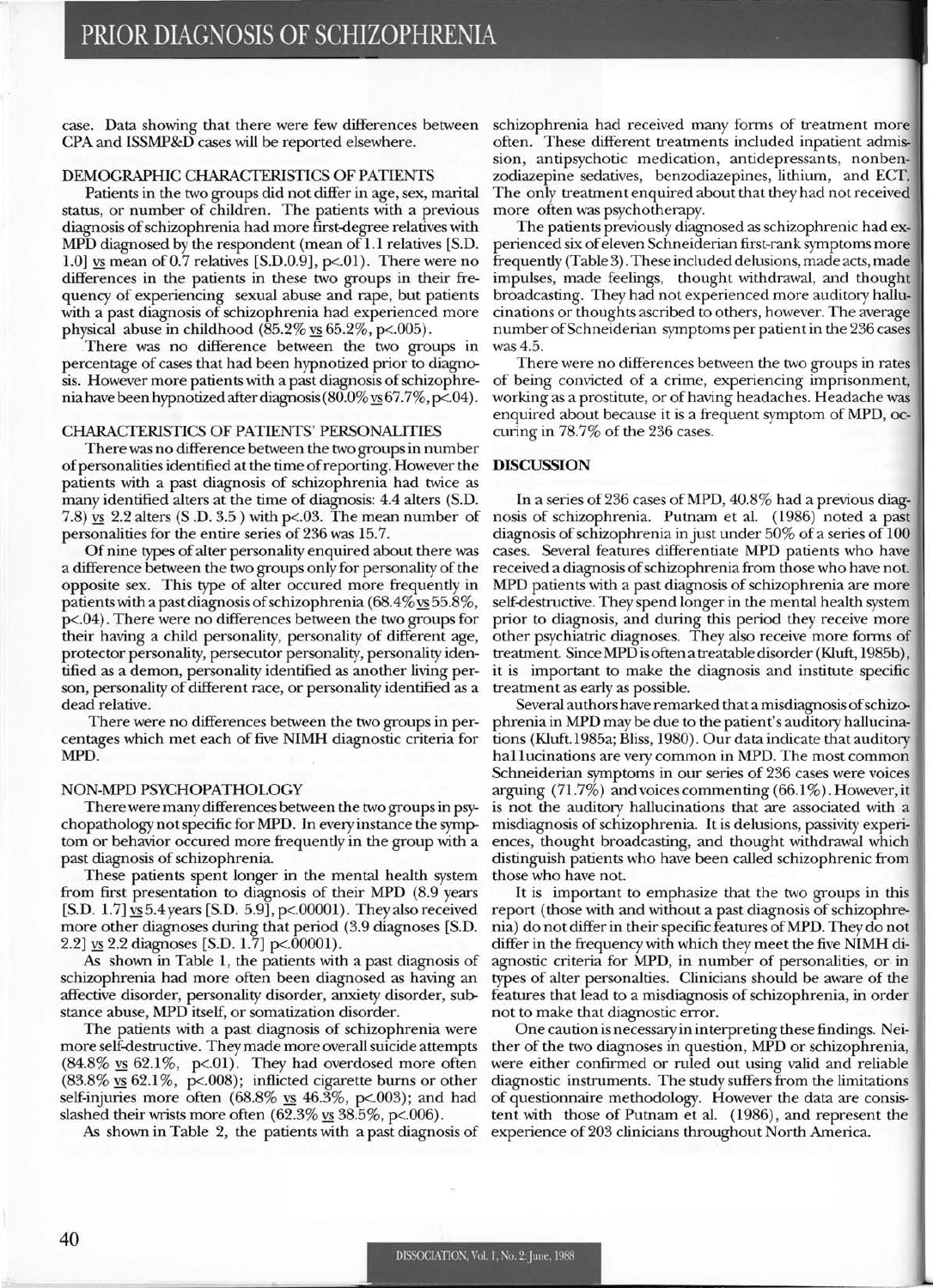case. Data showing that there were few differences between CPA and ISSMP&D cases will be reported elsewhere.

# DEMOGRAPHIC CHARACTERISTICS OF PATIENTS

Patients in the two groups did not differ in age, sex, marital status, or number of children. The patients with a previous diagnosis of schizophrenia had more first-degree relatives with MPD diagnosed by the respondent (mean of 1.1 relatives [S.D. 1.0] vs mean of 0.7 relatives [S.D.0.9],  $p<.01$ ). There were no differences in the patients in these two groups in their frequency of experiencing sexual abuse and rape, but patients with a past diagnosis of schizophrenia had experienced more physical abuse in childhood  $(85.2\% \text{ vs } 65.2\%, \text{ p} < .005)$ .

There was no difference between the two groups in percentage of cases that had been hypnotized prior to diagnosis. However more patients with a past diagnosis of schizophrenia have been hypnotized after diagnosis  $(80.0\% \text{ vs } 67.7\%, \text{ p} < 04)$ .

### CHARACTERISTICS OF PATIENTS' PERSONALITIES

There was no difference between the two groups in number of personalities identified at the time of reporting. However the patients with a past diagnosis of schizophrenia had twice as many identified alters at the time of diagnosis: 4.4 alters (S.D. 7.8)  $\overline{ys}$  2.2 alters (S.D. 3.5) with p<.03. The mean number of personalities for the entire series of 236 was 15.7.

Of nine types of alter personality enquired about there was a difference between the two groups only for personality of the opposite sex. This type of alter occured more frequently in patients with a past diagnosis of schizophrenia ( $68.4\%$  vs  $55.8\%$ , p<.04). There were no differences between the two groups for their having a child personality, personality of different age, protector personality, persecutor personality, personality identified as a demon, personality identified as another living person, personality of different race, or personality identified as a dead relative.

There were no differences between the two groups in percentages which met each of five NIMH diagnostic criteria for MPD.

#### NON-MPD PSYCHOPATHOLOGY

There were many differences between the two groups in psychopathology not specific for MPD. In every instance the symptom or behavior occured more frequently in the group with a past diagnosis of schizophrenia.

These patients spent longer in the mental health system from first presentation to diagnosis of their MPD (8.9 years [S.D.  $1.7$ ]  $\overline{ys}$  5.4 years [S.D. 5.9], p<.00001). They also received more other diagnoses during that period (3.9 diagnoses [S.D. 2.2] <u>vs</u> 2.2 diagnoses [S.D. 1.7] p<.00001).

As shown in Table 1, the patients with a past diagnosis of schizophrenia had more often been diagnosed as having an affective disorder, personality disorder, anxiety disorder, substance abuse, MPD itself, or somatization disorder.

The patients with a past diagnosis of schizophrenia were more self-destructive. They made more overall suicide attempts  $(84.8\% \text{ vs } 62.1\%, \text{ p} < 01)$ . They had overdosed more often (83.8%  $\overline{ys}$  62.1%, p<.008); inflicted cigarette burns or other self-injuries more often  $(68.8\% \text{ vs } 46.3\%, \text{ p} < 0.003)$ ; and had slashed their wrists more often  $(62.3\% \text{ vs } 38.5\%, \text{ p} < 0.006)$ .

As shown in Table 2, the patients with a past diagnosis of

schizophrenia had received many forms of treatment more often. These different treatments included inpatient admission, antipsychotic medication, antidepressants, nonbenzodiazepine sedatives, benzodiazepines, lithium, and ECT. The only treatment enquired about that they had not received more often was psychotherapy.

The patients previously diagnosed as schizophrenic had experienced six of eleven Schneiderian first-rank symptoms more frequently (Table 3). These included delusions, made acts, made impulses, made feelings, thought withdrawal, and thought broadcasting. They had not experienced more auditory hallucinations or thoughts ascribed to others, however. The average number ofSchneiderian symptoms per patient in the 236 cases was 4.5.

There were no differences between the two groups in rates of being convicted of a crime, experiencing imprisonment, working as a prostitute, or of having headaches. Headache was enquired about because it is a frequent symptom of MPD, occuring in 78.7% of the 236 cases.

# DISCUSSION

In a series of236 cases of MPD, 40.8% had a previous diagnosis of schizophrenia. Putnam et al. (1986) noted a past diagnosis of schizophrenia in just under 50% of a series of 100 cases. Several features differentiate MPD patients who have received a diagnosis of schizophrenia from those who have not. MPD patients with a past diagnosis of schizophrenia are more self-destructive. They spend longer in the mental health system prior to diagnosis, and during this period they receive more other psychiatric diagnoses. They also receive more forms of treatment. Since MPD is often a treatable disorder (Kluft, 1985b), it is important to make the diagnosis and institute specific treatment as early as possible.

Several authors have remarked that a misdiagnosis of schizophrenia in MPD may be due to the patient's auditory hallucinations (Kluft.l985a; Bliss, 1980). Our data indicate that auditory hall ucinations are very common in MPD. The most common Schneiderian symptoms in our series of 236 cases were voices arguing (71.7%) and voices commenting (66.1 %). However, it is not the auditory hallucinations that are associated with a misdiagnosis of schizophrenia. It is delusions, passivity experiences, thought broadcasting, and thought withdrawal which distinguish patients who have been called schizophrenic from those who have not.

It is important to emphasize that the two groups in this report (those with and without a past diagnosis of schizophrenia) do not differ in their specific features ofMPD. They do not differ in the frequency with which they meet the five NIMH diagnostic criteria for MPD, in number of personalities, or in types of alter personalties. Clinicians should be aware of the features that lead to a misdiagnosis of schizophrenia, in order not to make that diagnostic error.

One caution is necessary in interpreting these findings. Neither of the two diagnoses in question, MPD or schizophrenia, were either confirmed or ruled out using valid and reliable diagnostic instruments. The study suffers from the limitations of questionnaire methodology. However the data are consistent with those of Putnam et al. (1986), and represent the experience of 203 clinicians throughout North America.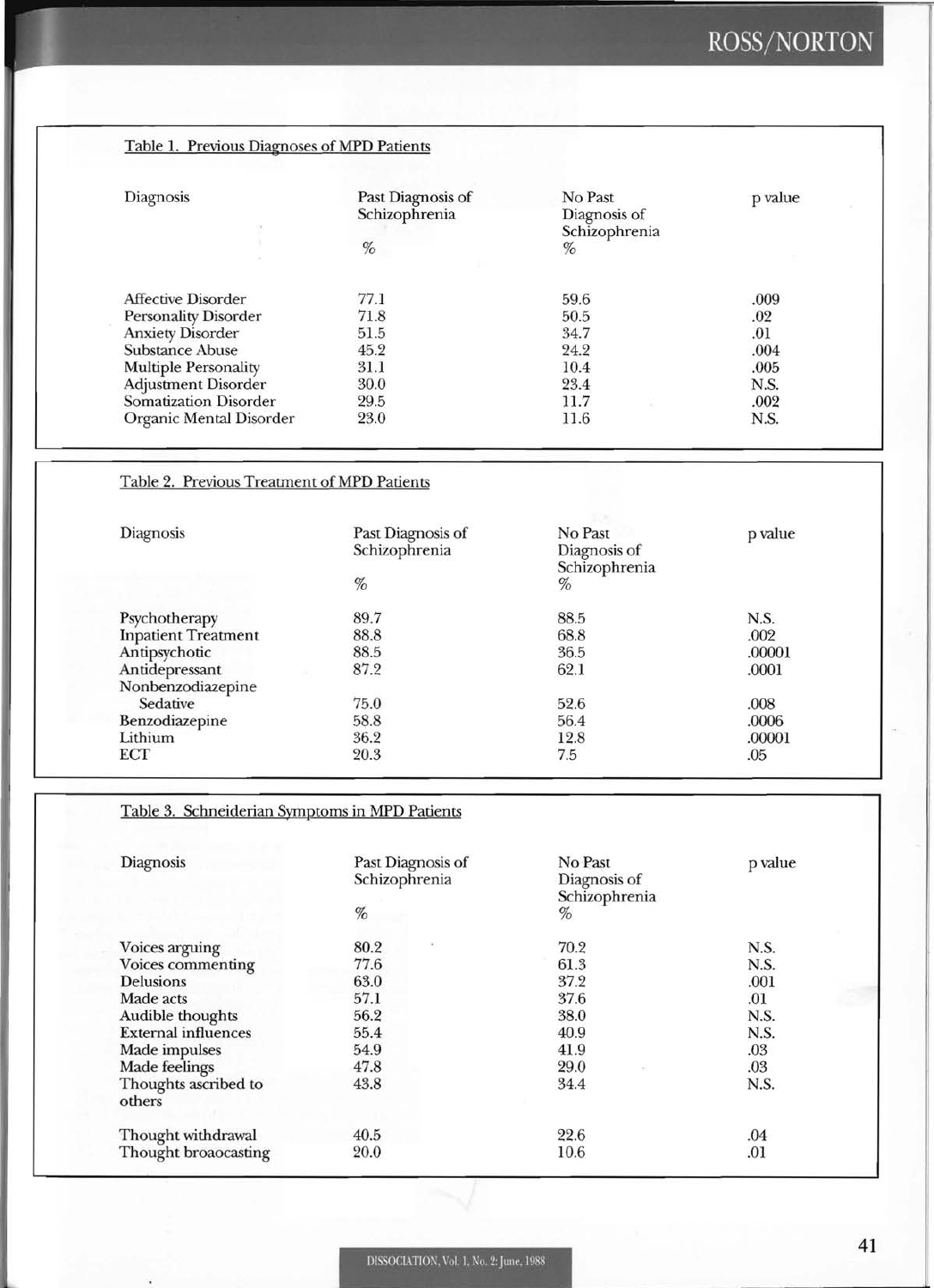# ROSS/NORTON

| Diagnosis                   | Past Diagnosis of | No Past                       | p value |
|-----------------------------|-------------------|-------------------------------|---------|
|                             | Schizophrenia     | Diagnosis of<br>Schizophrenia |         |
|                             | $\%$              | %                             |         |
| Affective Disorder          | 77.1              | 59.6                          | .009    |
| <b>Personality Disorder</b> | 71.8              | 50.5                          | .02     |
| <b>Anxiety Disorder</b>     | 51.5              | 34.7                          | .01     |
| Substance Abuse             | 45.2              | 24.2                          | .004    |
| <b>Multiple Personality</b> | 31.1              | 10.4                          | .005    |
| Adjustment Disorder         | 30.0              | 23.4                          | N.S.    |
| Somatization Disorder       | 29.5              | 11.7                          | .002    |
| Organic Mental Disorder     | 23.0              | 11.6                          | N.S.    |

# Table 2. Previous Treatment of MPD Patients

| <b>Diagnosis</b>           | Past Diagnosis of<br>Schizophrenia | No Past<br>Diagnosis of<br>Schizophrenia | p value |
|----------------------------|------------------------------------|------------------------------------------|---------|
|                            | %                                  | %                                        |         |
| Psychotherapy              | 89.7                               | 88.5                                     | N.S.    |
| <b>Inpatient Treatment</b> | 88.8                               | 68.8                                     | .002    |
| Antipsychotic              | 88.5                               | 36.5                                     | .00001  |
| Antidepressant             | 87.2                               | 62.1                                     | .0001   |
| Nonbenzodiazepine          |                                    |                                          |         |
| Sedative                   | 75.0                               | 52.6                                     | .008    |
| Benzodiazepine             | 58.8                               | 56.4                                     | .0006   |
| Lithium                    | 36.2                               | 12.8                                     | .00001  |
| ECT                        | 20.3                               | 7.5                                      | .05     |

# Table 3. Schneiderian Symptoms in MPD Patients

| Diagnosis                      | Past Diagnosis of<br>Schizophrenia<br>$\%$ | No Past<br>Diagnosis of<br>Schizophrenia<br>% | p value |
|--------------------------------|--------------------------------------------|-----------------------------------------------|---------|
| Voices arguing                 | 80.2                                       | 70.2                                          | N.S.    |
| Voices commenting              | 77.6                                       | 61.3                                          | N.S.    |
| <b>Delusions</b>               | 63.0                                       | 37.2                                          | .001    |
| Made acts                      | 57.1                                       | 37.6                                          | .01     |
| Audible thoughts               | 56.2                                       | 38.0                                          | N.S.    |
| <b>External influences</b>     | 55.4                                       | 40.9                                          | N.S.    |
| Made impulses                  | 54.9                                       | 41.9                                          | .03     |
| Made feelings                  | 47.8                                       | 29.0                                          | .03     |
| Thoughts ascribed to<br>others | 43.8                                       | 34.4                                          | N.S.    |
| Thought withdrawal             | 40.5                                       | 22.6                                          | .04     |
| Thought broaocasting           | 20.0                                       | 10.6                                          | .01     |